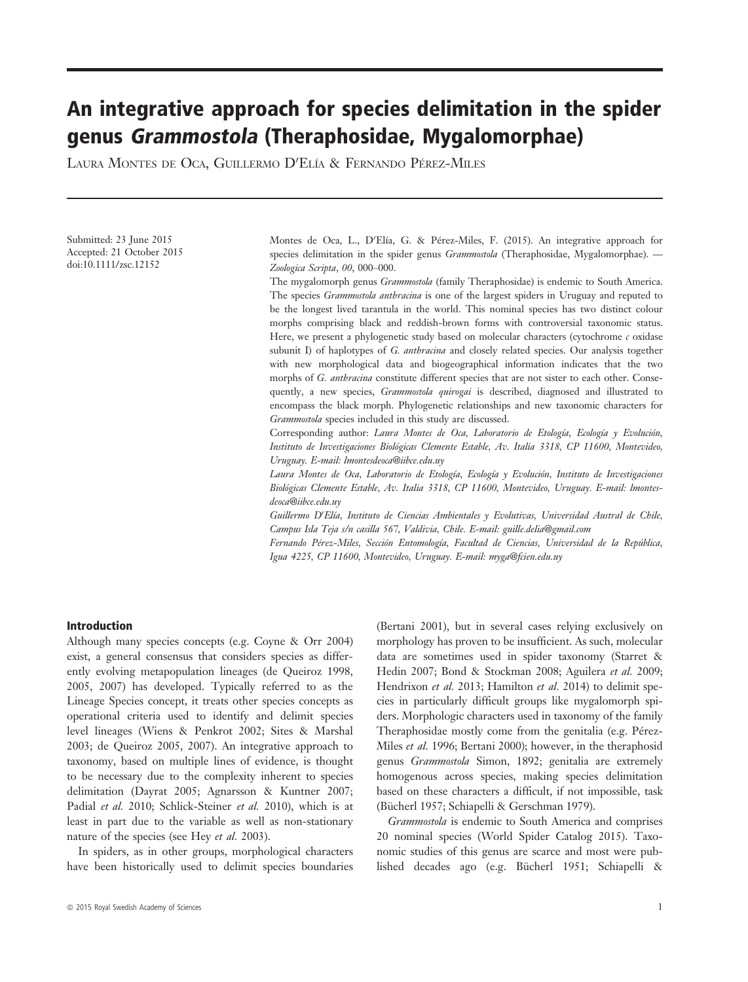# An integrative approach for species delimitation in the spider genus Grammostola (Theraphosidae, Mygalomorphae)

LAURA MONTES DE OCA, GUILLERMO D'ELÍA & FERNANDO PÉREZ-MILES

Submitted: 23 June 2015 Accepted: 21 October 2015 doi:10.1111/zsc.12152

Montes de Oca, L., D'Elía, G. & Pérez-Miles, F. (2015). An integrative approach for species delimitation in the spider genus *Grammostola* (Theraphosidae, Mygalomorphae). — Zoologica Scripta, 00, 000–000.

The mygalomorph genus *Grammostola* (family Theraphosidae) is endemic to South America. The species Grammostola anthracina is one of the largest spiders in Uruguay and reputed to be the longest lived tarantula in the world. This nominal species has two distinct colour morphs comprising black and reddish-brown forms with controversial taxonomic status. Here, we present a phylogenetic study based on molecular characters (cytochrome  $c$  oxidase subunit I) of haplotypes of G. *anthracina* and closely related species. Our analysis together with new morphological data and biogeographical information indicates that the two morphs of G. anthracina constitute different species that are not sister to each other. Consequently, a new species, Grammostola quirogai is described, diagnosed and illustrated to encompass the black morph. Phylogenetic relationships and new taxonomic characters for Grammostola species included in this study are discussed.

Corresponding author: Laura Montes de Oca, Laboratorio de Etología, Ecología y Evolución, Instituto de Investigaciones Biologicas Clemente Estable, Av. Italia 3318, CP 11600, Montevideo, Uruguay. E-mail: lmontesdeoca@iibce.edu.uy

Laura Montes de Oca, Laboratorio de Etología, Ecología y Evolución, Instituto de Investigaciones Biologicas Clemente Estable, Av. Italia 3318, CP 11600, Montevideo, Uruguay. E-mail: lmontesdeoca@iibce.edu.uy

Guillermo D'Elía, Instituto de Ciencias Ambientales y Evolutivas, Universidad Austral de Chile, Campus Isla Teja s/n casilla 567, Valdivia, Chile. E-mail: guille.delia@gmail.com

Fernando Pérez-Miles, Sección Entomología, Facultad de Ciencias, Universidad de la República, Igua 4225, CP 11600, Montevideo, Uruguay. E-mail: myga@fcien.edu.uy

## Introduction

Although many species concepts (e.g. Coyne & Orr 2004) exist, a general consensus that considers species as differently evolving metapopulation lineages (de Queiroz 1998, 2005, 2007) has developed. Typically referred to as the Lineage Species concept, it treats other species concepts as operational criteria used to identify and delimit species level lineages (Wiens & Penkrot 2002; Sites & Marshal 2003; de Queiroz 2005, 2007). An integrative approach to taxonomy, based on multiple lines of evidence, is thought to be necessary due to the complexity inherent to species delimitation (Dayrat 2005; Agnarsson & Kuntner 2007; Padial et al. 2010; Schlick-Steiner et al. 2010), which is at least in part due to the variable as well as non-stationary nature of the species (see Hey et al. 2003).

In spiders, as in other groups, morphological characters have been historically used to delimit species boundaries data are sometimes used in spider taxonomy (Starret & Hedin 2007; Bond & Stockman 2008; Aguilera et al. 2009; Hendrixon et al. 2013; Hamilton et al. 2014) to delimit species in particularly difficult groups like mygalomorph spiders. Morphologic characters used in taxonomy of the family Theraphosidae mostly come from the genitalia (e.g. Pérez-Miles et al. 1996; Bertani 2000); however, in the theraphosid genus Grammostola Simon, 1892; genitalia are extremely homogenous across species, making species delimitation based on these characters a difficult, if not impossible, task (Bücherl 1957; Schiapelli & Gerschman 1979).

(Bertani 2001), but in several cases relying exclusively on morphology has proven to be insufficient. As such, molecular

Grammostola is endemic to South America and comprises 20 nominal species (World Spider Catalog 2015). Taxonomic studies of this genus are scarce and most were published decades ago (e.g. Bücherl 1951; Schiapelli &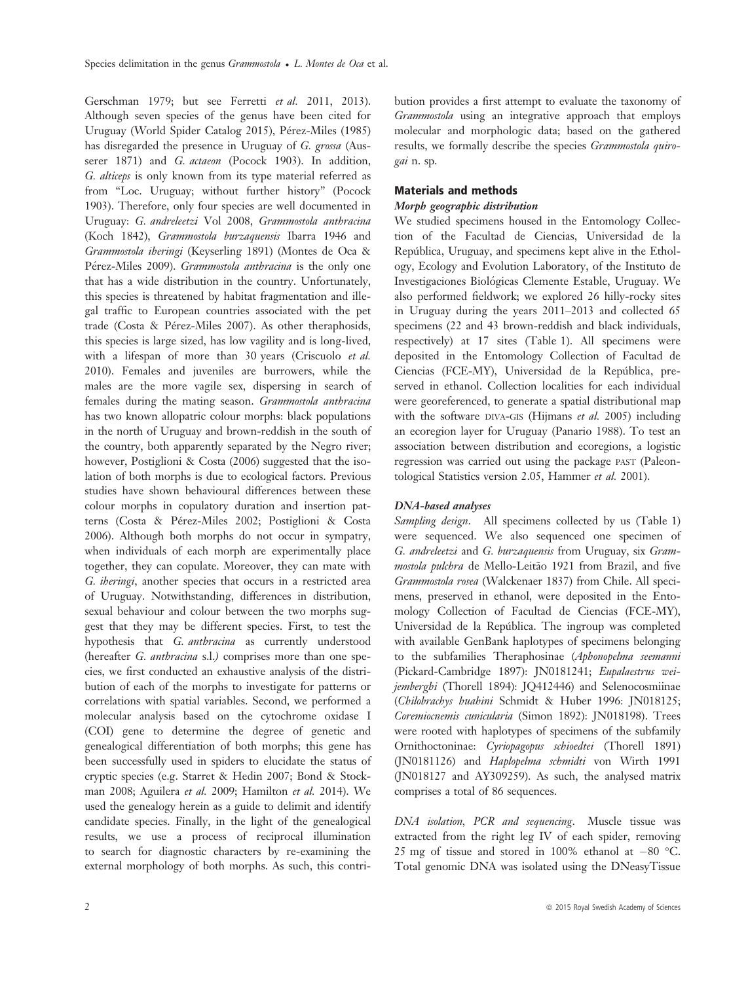Gerschman 1979; but see Ferretti et al. 2011, 2013). Although seven species of the genus have been cited for Uruguay (World Spider Catalog 2015), Pérez-Miles (1985) has disregarded the presence in Uruguay of G. grossa (Ausserer 1871) and G. actaeon (Pocock 1903). In addition, G. alticeps is only known from its type material referred as from "Loc. Uruguay; without further history" (Pocock 1903). Therefore, only four species are well documented in Uruguay: G. andreleetzi Vol 2008, Grammostola anthracina (Koch 1842), Grammostola burzaquensis Ibarra 1946 and Grammostola iheringi (Keyserling 1891) (Montes de Oca & Pérez-Miles 2009). Grammostola anthracina is the only one that has a wide distribution in the country. Unfortunately, this species is threatened by habitat fragmentation and illegal traffic to European countries associated with the pet trade (Costa & Pérez-Miles 2007). As other theraphosids, this species is large sized, has low vagility and is long-lived, with a lifespan of more than 30 years (Criscuolo et al. 2010). Females and juveniles are burrowers, while the males are the more vagile sex, dispersing in search of females during the mating season. Grammostola anthracina has two known allopatric colour morphs: black populations in the north of Uruguay and brown-reddish in the south of the country, both apparently separated by the Negro river; however, Postiglioni & Costa (2006) suggested that the isolation of both morphs is due to ecological factors. Previous studies have shown behavioural differences between these colour morphs in copulatory duration and insertion patterns (Costa & Perez-Miles 2002; Postiglioni & Costa 2006). Although both morphs do not occur in sympatry, when individuals of each morph are experimentally place together, they can copulate. Moreover, they can mate with G. iheringi, another species that occurs in a restricted area of Uruguay. Notwithstanding, differences in distribution, sexual behaviour and colour between the two morphs suggest that they may be different species. First, to test the hypothesis that G. anthracina as currently understood (hereafter G. anthracina s.l.) comprises more than one species, we first conducted an exhaustive analysis of the distribution of each of the morphs to investigate for patterns or correlations with spatial variables. Second, we performed a molecular analysis based on the cytochrome oxidase I (COI) gene to determine the degree of genetic and genealogical differentiation of both morphs; this gene has been successfully used in spiders to elucidate the status of cryptic species (e.g. Starret & Hedin 2007; Bond & Stockman 2008; Aguilera et al. 2009; Hamilton et al. 2014). We used the genealogy herein as a guide to delimit and identify candidate species. Finally, in the light of the genealogical results, we use a process of reciprocal illumination to search for diagnostic characters by re-examining the external morphology of both morphs. As such, this contribution provides a first attempt to evaluate the taxonomy of Grammostola using an integrative approach that employs molecular and morphologic data; based on the gathered results, we formally describe the species Grammostola quirogai n. sp.

## Materials and methods

## Morph geographic distribution

We studied specimens housed in the Entomology Collection of the Facultad de Ciencias, Universidad de la Republica, Uruguay, and specimens kept alive in the Ethol ogy, Ecology and Evolution Laboratory, of the Instituto de Investigaciones Biologicas Clemente Estable, Uruguay. We also performed fieldwork; we explored 26 hilly-rocky sites in Uruguay during the years 2011–2013 and collected 65 specimens (22 and 43 brown-reddish and black individuals, respectively) at 17 sites (Table 1). All specimens were deposited in the Entomology Collection of Facultad de Ciencias (FCE-MY), Universidad de la Republica, pre served in ethanol. Collection localities for each individual were georeferenced, to generate a spatial distributional map with the software DIVA-GIS (Hijmans et al. 2005) including an ecoregion layer for Uruguay (Panario 1988). To test an association between distribution and ecoregions, a logistic regression was carried out using the package PAST (Paleontological Statistics version 2.05, Hammer et al. 2001).

## DNA-based analyses

Sampling design. All specimens collected by us (Table 1) were sequenced. We also sequenced one specimen of G. andreleetzi and G. burzaquensis from Uruguay, six Grammostola pulchra de Mello-Leitão 1921 from Brazil, and five Grammostola rosea (Walckenaer 1837) from Chile. All specimens, preserved in ethanol, were deposited in the Entomology Collection of Facultad de Ciencias (FCE-MY), Universidad de la Republica. The ingroup was completed with available GenBank haplotypes of specimens belonging to the subfamilies Theraphosinae (Aphonopelma seemanni (Pickard-Cambridge 1897): JN0181241; Eupalaestrus weijemberghi (Thorell 1894): JQ412446) and Selenocosmiinae (Chilobrachys huahini Schmidt & Huber 1996: JN018125; Coremiocnemis cunicularia (Simon 1892): JN018198). Trees were rooted with haplotypes of specimens of the subfamily Ornithoctoninae: Cyriopagopus schioedtei (Thorell 1891) (JN0181126) and Haplopelma schmidti von Wirth 1991 (JN018127 and AY309259). As such, the analysed matrix comprises a total of 86 sequences.

DNA isolation, PCR and sequencing. Muscle tissue was extracted from the right leg IV of each spider, removing 25 mg of tissue and stored in 100% ethanol at  $-80$  °C. Total genomic DNA was isolated using the DNeasyTissue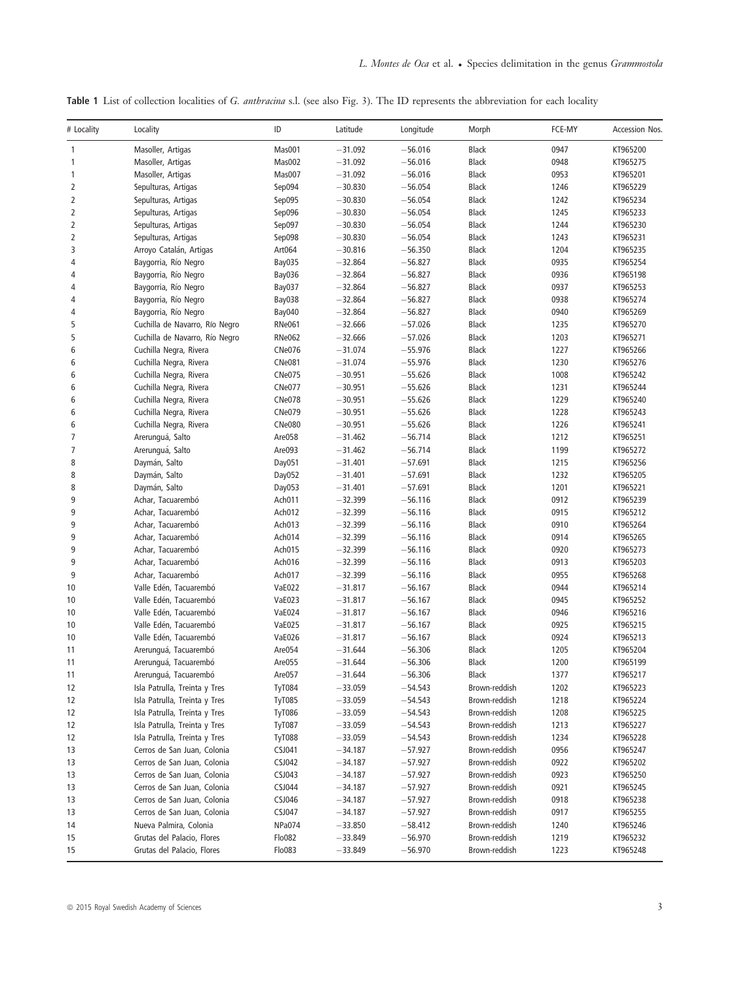Table 1 List of collection localities of G. anthracina s.l. (see also Fig. 3). The ID represents the abbreviation for each locality

| # Locality     | Locality                       | ID            | Latitude  | Longitude | Morph         | FCE-MY | Accession Nos. |
|----------------|--------------------------------|---------------|-----------|-----------|---------------|--------|----------------|
| 1              | Masoller, Artigas              | Mas001        | $-31.092$ | $-56.016$ | Black         | 0947   | KT965200       |
| $\mathbf{1}$   | Masoller, Artigas              | Mas002        | $-31.092$ | $-56.016$ | <b>Black</b>  | 0948   | KT965275       |
| 1              | Masoller, Artigas              | Mas007        | $-31.092$ | $-56.016$ | Black         | 0953   | KT965201       |
| $\overline{2}$ | Sepulturas, Artigas            | Sep094        | $-30.830$ | $-56.054$ | <b>Black</b>  | 1246   | KT965229       |
| 2              | Sepulturas, Artigas            | Sep095        | $-30.830$ | $-56.054$ | Black         | 1242   | KT965234       |
| $\overline{2}$ | Sepulturas, Artigas            | Sep096        | $-30.830$ | $-56.054$ | Black         | 1245   | KT965233       |
| $\overline{2}$ | Sepulturas, Artigas            | Sep097        | $-30.830$ | $-56.054$ | <b>Black</b>  | 1244   | KT965230       |
| 2              | Sepulturas, Artigas            | Sep098        | $-30.830$ | $-56.054$ | Black         | 1243   | KT965231       |
| 3              | Arroyo Catalán, Artigas        | Art064        | $-30.816$ | $-56.350$ | Black         | 1204   | KT965235       |
| 4              | Baygorria, Río Negro           | <b>Bay035</b> | $-32.864$ | $-56.827$ | Black         | 0935   | KT965254       |
| 4              | Baygorria, Río Negro           | <b>Bay036</b> | $-32.864$ | $-56.827$ | Black         | 0936   | KT965198       |
| 4              | Baygorria, Río Negro           | <b>Bay037</b> | $-32.864$ | $-56.827$ | Black         | 0937   | KT965253       |
| 4              | Baygorria, Río Negro           | Bay038        | $-32.864$ | $-56.827$ | Black         | 0938   | KT965274       |
| 4              | Baygorria, Río Negro           | <b>Bay040</b> | $-32.864$ | $-56.827$ | Black         | 0940   | KT965269       |
| 5              | Cuchilla de Navarro, Río Negro | <b>RNe061</b> | $-32.666$ | $-57.026$ | Black         | 1235   | KT965270       |
| 5              | Cuchilla de Navarro, Río Negro | <b>RNe062</b> | $-32.666$ | $-57.026$ | Black         | 1203   | KT965271       |
| 6              | Cuchilla Negra, Rivera         | <b>CNe076</b> | $-31.074$ | $-55.976$ | Black         | 1227   | KT965266       |
| 6              | Cuchilla Negra, Rivera         | <b>CNe081</b> | $-31.074$ | $-55.976$ | Black         | 1230   | KT965276       |
| 6              | Cuchilla Negra, Rivera         | <b>CNe075</b> | $-30.951$ | $-55.626$ | Black         | 1008   | KT965242       |
| 6              | Cuchilla Negra, Rivera         | <b>CNe077</b> | $-30.951$ | $-55.626$ | Black         | 1231   | KT965244       |
| 6              | Cuchilla Negra, Rivera         | <b>CNe078</b> | $-30.951$ | $-55.626$ | Black         | 1229   | KT965240       |
| 6              | Cuchilla Negra, Rivera         | <b>CNe079</b> | $-30.951$ | $-55.626$ | Black         | 1228   | KT965243       |
| 6              | Cuchilla Negra, Rivera         | <b>CNe080</b> | $-30.951$ | $-55.626$ | Black         | 1226   | KT965241       |
| 7              | Arerunguá, Salto               | Are058        | $-31.462$ | $-56.714$ | Black         | 1212   | KT965251       |
| 7              | Arerunguá, Salto               | Are093        | $-31.462$ | $-56.714$ | Black         | 1199   | KT965272       |
| 8              | Daymán, Salto                  | Day051        | $-31.401$ | $-57.691$ | Black         | 1215   | KT965256       |
| 8              | Daymán, Salto                  | Day052        | $-31.401$ | $-57.691$ | Black         | 1232   | KT965205       |
| 8              | Daymán, Salto                  | Day053        | $-31.401$ | $-57.691$ | Black         | 1201   | KT965221       |
| 9              | Achar, Tacuarembó              | Ach011        | $-32.399$ | $-56.116$ | Black         | 0912   | KT965239       |
| 9              | Achar, Tacuarembó              | Ach012        | $-32.399$ | $-56.116$ | Black         | 0915   | KT965212       |
| 9              | Achar, Tacuarembó              | Ach013        | $-32.399$ | $-56.116$ | <b>Black</b>  | 0910   | KT965264       |
| 9              | Achar, Tacuarembó              | Ach014        | $-32.399$ | $-56.116$ | Black         | 0914   | KT965265       |
| 9              | Achar, Tacuarembó              | Ach015        | $-32.399$ | $-56.116$ | Black         | 0920   | KT965273       |
| 9              | Achar, Tacuarembó              | Ach016        | $-32.399$ | $-56.116$ | Black         | 0913   | KT965203       |
| 9              | Achar, Tacuarembó              | Ach017        | $-32.399$ | $-56.116$ | Black         | 0955   | KT965268       |
| 10             | Valle Edén, Tacuarembó         | <b>VaE022</b> | $-31.817$ | $-56.167$ | Black         | 0944   | KT965214       |
| 10             | Valle Edén, Tacuarembó         | VaE023        | $-31.817$ | $-56.167$ | Black         | 0945   | KT965252       |
| 10             | Valle Edén, Tacuarembó         | <b>VaE024</b> | $-31.817$ | $-56.167$ | Black         | 0946   | KT965216       |
| 10             | Valle Edén, Tacuarembó         | <b>VaE025</b> | $-31.817$ | $-56.167$ | Black         | 0925   | KT965215       |
| 10             | Valle Edén, Tacuarembó         | <b>VaE026</b> | $-31.817$ | $-56.167$ | Black         | 0924   | KT965213       |
| 11             | Arerunguá, Tacuarembó          | Are054        | $-31.644$ | $-56.306$ | Black         | 1205   | KT965204       |
| 11             | Arerunguá, Tacuarembó          | Are055        | $-31.644$ | $-56.306$ | Black         | 1200   | KT965199       |
| 11             | Arerunguá, Tacuarembó          | Are057        | $-31.644$ | $-56.306$ | <b>Black</b>  | 1377   | KT965217       |
| 12             | Isla Patrulla, Treinta y Tres  | TyT084        | $-33.059$ | $-54.543$ | Brown-reddish | 1202   | KT965223       |
| 12             | Isla Patrulla, Treinta y Tres  | <b>TyT085</b> | $-33.059$ | -54.543   | Brown-reddish | 1218   | KT965224       |
| 12             | Isla Patrulla, Treinta y Tres  | <b>TyT086</b> | $-33.059$ | $-54.543$ | Brown-reddish | 1208   | KT965225       |
| 12             | Isla Patrulla, Treinta y Tres  | <b>TyT087</b> | $-33.059$ | -54.543   | Brown-reddish | 1213   | KT965227       |
| 12             | Isla Patrulla, Treinta y Tres  | <b>TyT088</b> | $-33.059$ | $-54.543$ | Brown-reddish | 1234   | KT965228       |
| 13             | Cerros de San Juan, Colonia    | CSJ041        | $-34.187$ | $-57.927$ | Brown-reddish | 0956   | KT965247       |
| 13             | Cerros de San Juan, Colonia    | CSJ042        | $-34.187$ | $-57.927$ | Brown-reddish | 0922   | KT965202       |
| 13             | Cerros de San Juan, Colonia    | CSJ043        | $-34.187$ | $-57.927$ | Brown-reddish | 0923   | KT965250       |
| 13             | Cerros de San Juan, Colonia    | CSJ044        | $-34.187$ | $-57.927$ | Brown-reddish | 0921   | KT965245       |
| 13             | Cerros de San Juan, Colonia    | CSJ046        | $-34.187$ | $-57.927$ | Brown-reddish | 0918   | KT965238       |
| 13             | Cerros de San Juan, Colonia    | CSJ047        | $-34.187$ | $-57.927$ | Brown-reddish | 0917   | KT965255       |
| 14             | Nueva Palmira, Colonia         | NPa074        | $-33.850$ | $-58.412$ | Brown-reddish | 1240   | KT965246       |
| 15             | Grutas del Palacio, Flores     | Flo082        | $-33.849$ | $-56.970$ | Brown-reddish | 1219   | KT965232       |
| 15             | Grutas del Palacio, Flores     | Flo083        | $-33.849$ | $-56.970$ | Brown-reddish | 1223   | KT965248       |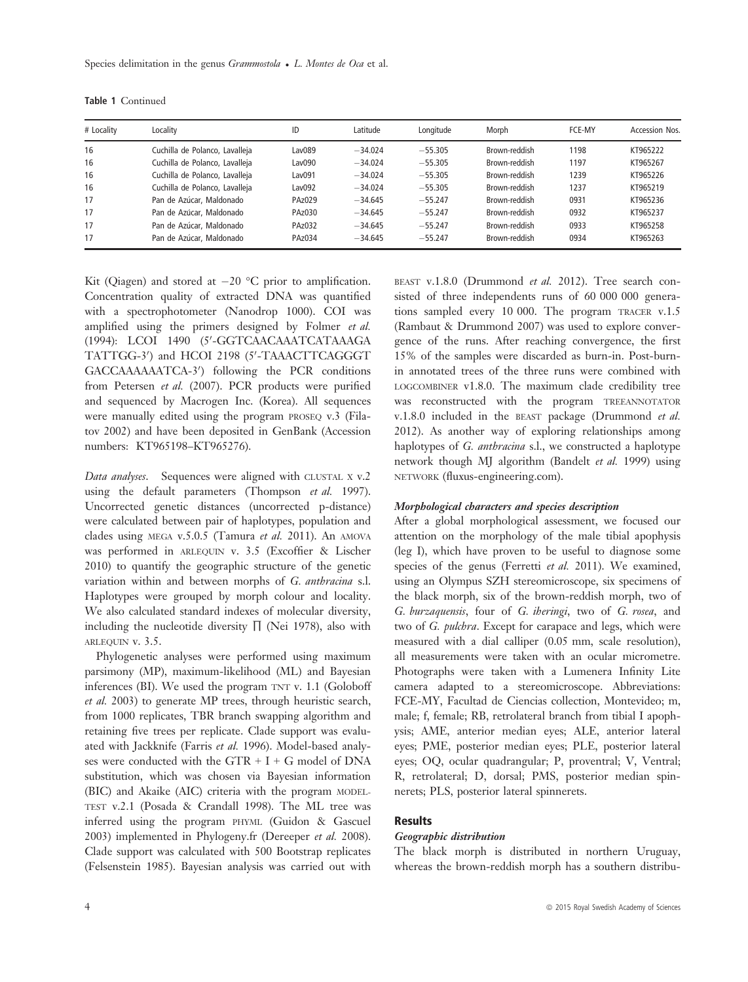| # Locality | Localitv                       | ID            | Latitude  | Longitude | Morph         | FCE-MY | Accession Nos. |
|------------|--------------------------------|---------------|-----------|-----------|---------------|--------|----------------|
| 16         | Cuchilla de Polanco, Lavalleja | Lav089        | $-34.024$ | $-55.305$ | Brown-reddish | 1198   | KT965222       |
| 16         | Cuchilla de Polanco, Lavalleja | Lav090        | $-34.024$ | $-55.305$ | Brown-reddish | 1197   | KT965267       |
| 16         | Cuchilla de Polanco, Lavalleja | Lav091        | $-34.024$ | $-55.305$ | Brown-reddish | 1239   | KT965226       |
| 16         | Cuchilla de Polanco, Lavalleja | Lav092        | $-34.024$ | $-55.305$ | Brown-reddish | 1237   | KT965219       |
| 17         | Pan de Azúcar, Maldonado       | PAz029        | $-34.645$ | $-55.247$ | Brown-reddish | 0931   | KT965236       |
| 17         | Pan de Azúcar. Maldonado       | PAz030        | $-34.645$ | $-55.247$ | Brown-reddish | 0932   | KT965237       |
| 17         | Pan de Azúcar, Maldonado       | <b>PAz032</b> | $-34.645$ | $-55.247$ | Brown-reddish | 0933   | KT965258       |
| 17         | Pan de Azúcar. Maldonado       | PAz034        | $-34.645$ | $-55.247$ | Brown-reddish | 0934   | KT965263       |

Table 1 Continued

Kit (Qiagen) and stored at  $-20$  °C prior to amplification. Concentration quality of extracted DNA was quantified with a spectrophotometer (Nanodrop 1000). COI was amplified using the primers designed by Folmer et al. (1994): LCOI 1490 (5'-GGTCAACAAATCATAAAGA TATTGG-3') and HCOI 2198 (5'-TAAACTTCAGGGT GACCAAAAAATCA-3') following the PCR conditions from Petersen et al. (2007). PCR products were purified and sequenced by Macrogen Inc. (Korea). All sequences were manually edited using the program PROSEQ v.3 (Filatov 2002) and have been deposited in GenBank (Accession numbers: KT965198–KT965276).

Data analyses. Sequences were aligned with CLUSTAL X v.2 using the default parameters (Thompson et al. 1997). Uncorrected genetic distances (uncorrected p-distance) were calculated between pair of haplotypes, population and clades using MEGA v.5.0.5 (Tamura et al. 2011). An AMOVA was performed in ARLEQUIN v. 3.5 (Excoffier & Lischer 2010) to quantify the geographic structure of the genetic variation within and between morphs of G. anthracina s.l. Haplotypes were grouped by morph colour and locality. We also calculated standard indexes of molecular diversity, including the nucleotide diversity  $\Pi$  (Nei 1978), also with ARLEQUIN v. 3.5.

Phylogenetic analyses were performed using maximum parsimony (MP), maximum-likelihood (ML) and Bayesian inferences (BI). We used the program TNT v. 1.1 (Goloboff et al. 2003) to generate MP trees, through heuristic search, from 1000 replicates, TBR branch swapping algorithm and retaining five trees per replicate. Clade support was evaluated with Jackknife (Farris et al. 1996). Model-based analyses were conducted with the GTR  $+$  I + G model of DNA substitution, which was chosen via Bayesian information (BIC) and Akaike (AIC) criteria with the program MODEL-TEST v.2.1 (Posada & Crandall 1998). The ML tree was inferred using the program PHYML (Guidon & Gascuel 2003) implemented in Phylogeny.fr (Dereeper et al. 2008). Clade support was calculated with 500 Bootstrap replicates (Felsenstein 1985). Bayesian analysis was carried out with BEAST v.1.8.0 (Drummond et al. 2012). Tree search consisted of three independents runs of 60 000 000 generations sampled every 10 000. The program TRACER v.1.5 (Rambaut & Drummond 2007) was used to explore convergence of the runs. After reaching convergence, the first 15% of the samples were discarded as burn-in. Post-burnin annotated trees of the three runs were combined with LOGCOMBINER v1.8.0. The maximum clade credibility tree was reconstructed with the program TREEANNOTATOR v.1.8.0 included in the BEAST package (Drummond et al. 2012). As another way of exploring relationships among haplotypes of G. anthracina s.l., we constructed a haplotype network though MJ algorithm (Bandelt et al. 1999) using NETWORK (fluxus-engineering.com).

#### Morphological characters and species description

After a global morphological assessment, we focused our attention on the morphology of the male tibial apophysis (leg I), which have proven to be useful to diagnose some species of the genus (Ferretti et al. 2011). We examined, using an Olympus SZH stereomicroscope, six specimens of the black morph, six of the brown-reddish morph, two of G. burzaquensis, four of G. iheringi, two of G. rosea, and two of G. pulchra. Except for carapace and legs, which were measured with a dial calliper (0.05 mm, scale resolution), all measurements were taken with an ocular micrometre. Photographs were taken with a Lumenera Infinity Lite camera adapted to a stereomicroscope. Abbreviations: FCE-MY, Facultad de Ciencias collection, Montevideo; m, male; f, female; RB, retrolateral branch from tibial I apophysis; AME, anterior median eyes; ALE, anterior lateral eyes; PME, posterior median eyes; PLE, posterior lateral eyes; OQ, ocular quadrangular; P, proventral; V, Ventral; R, retrolateral; D, dorsal; PMS, posterior median spinnerets; PLS, posterior lateral spinnerets.

## Results

# Geographic distribution

The black morph is distributed in northern Uruguay, whereas the brown-reddish morph has a southern distribu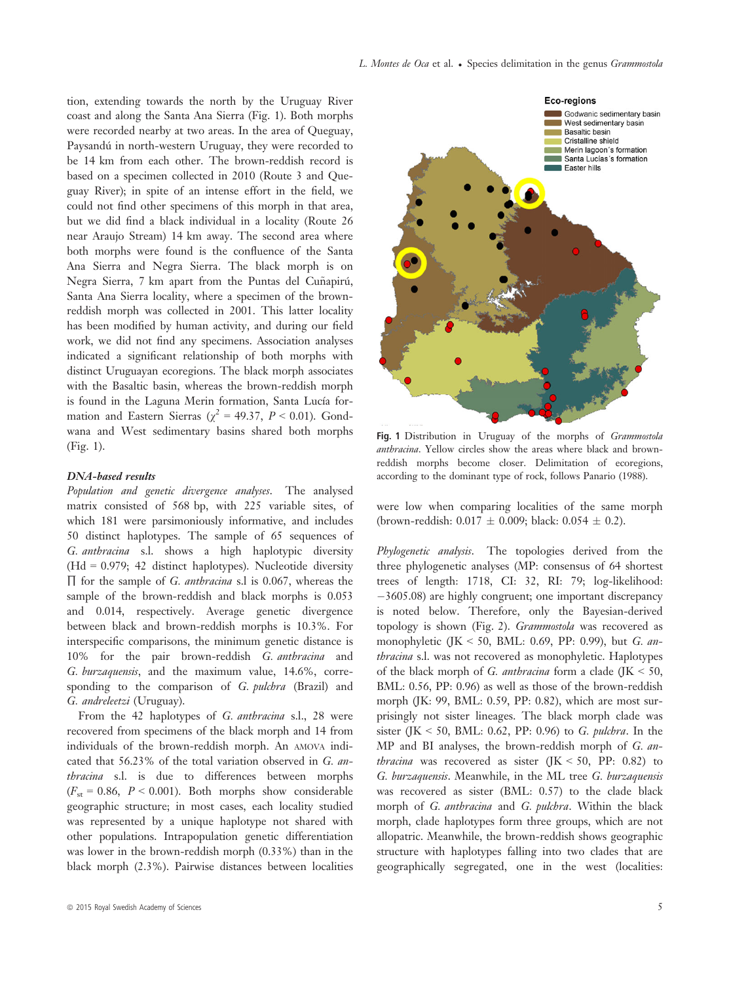tion, extending towards the north by the Uruguay River coast and along the Santa Ana Sierra (Fig. 1). Both morphs were recorded nearby at two areas. In the area of Queguay, Paysandú in north-western Uruguay, they were recorded to be 14 km from each other. The brown-reddish record is based on a specimen collected in 2010 (Route 3 and Queguay River); in spite of an intense effort in the field, we could not find other specimens of this morph in that area, but we did find a black individual in a locality (Route 26 near Araujo Stream) 14 km away. The second area where both morphs were found is the confluence of the Santa Ana Sierra and Negra Sierra. The black morph is on Negra Sierra, 7 km apart from the Puntas del Cuñapirú, Santa Ana Sierra locality, where a specimen of the brownreddish morph was collected in 2001. This latter locality has been modified by human activity, and during our field work, we did not find any specimens. Association analyses indicated a significant relationship of both morphs with distinct Uruguayan ecoregions. The black morph associates with the Basaltic basin, whereas the brown-reddish morph is found in the Laguna Merin formation, Santa Lucía formation and Eastern Sierras ( $\chi^2$  = 49.37, P < 0.01). Gondwana and West sedimentary basins shared both morphs (Fig. 1).

#### DNA-based results

Population and genetic divergence analyses. The analysed matrix consisted of 568 bp, with 225 variable sites, of which 181 were parsimoniously informative, and includes 50 distinct haplotypes. The sample of 65 sequences of G. anthracina s.l. shows a high haplotypic diversity (Hd = 0.979; 42 distinct haplotypes). Nucleotide diversity ∏ for the sample of G. anthracina s.l is 0.067, whereas the sample of the brown-reddish and black morphs is 0.053 and 0.014, respectively. Average genetic divergence between black and brown-reddish morphs is 10.3%. For interspecific comparisons, the minimum genetic distance is 10% for the pair brown-reddish G. anthracina and G. burzaquensis, and the maximum value, 14.6%, corresponding to the comparison of G. pulchra (Brazil) and G. andreleetzi (Uruguay).

From the 42 haplotypes of G. anthracina s.l., 28 were recovered from specimens of the black morph and 14 from individuals of the brown-reddish morph. An AMOVA indicated that 56.23% of the total variation observed in G. anthracina s.l. is due to differences between morphs  $(F<sub>st</sub> = 0.86, P < 0.001)$ . Both morphs show considerable geographic structure; in most cases, each locality studied was represented by a unique haplotype not shared with other populations. Intrapopulation genetic differentiation was lower in the brown-reddish morph (0.33%) than in the black morph (2.3%). Pairwise distances between localities



Fig. 1 Distribution in Uruguay of the morphs of Grammostola anthracina. Yellow circles show the areas where black and brownreddish morphs become closer. Delimitation of ecoregions, according to the dominant type of rock, follows Panario (1988).

were low when comparing localities of the same morph (brown-reddish:  $0.017 \pm 0.009$ ; black:  $0.054 \pm 0.2$ ).

Phylogenetic analysis. The topologies derived from the three phylogenetic analyses (MP: consensus of 64 shortest trees of length: 1718, CI: 32, RI: 79; log-likelihood: -3605.08) are highly congruent; one important discrepancy is noted below. Therefore, only the Bayesian-derived topology is shown (Fig. 2). Grammostola was recovered as monophyletic (JK < 50, BML: 0.69, PP: 0.99), but *G. an*thracina s.l. was not recovered as monophyletic. Haplotypes of the black morph of G. anthracina form a clade (JK  $<$  50, BML: 0.56, PP: 0.96) as well as those of the brown-reddish morph (JK: 99, BML: 0.59, PP: 0.82), which are most surprisingly not sister lineages. The black morph clade was sister (JK < 50, BML: 0.62, PP: 0.96) to G. pulchra. In the MP and BI analyses, the brown-reddish morph of G. anthracina was recovered as sister (JK < 50, PP: 0.82) to G. burzaquensis. Meanwhile, in the ML tree G. burzaquensis was recovered as sister (BML: 0.57) to the clade black morph of G. anthracina and G. pulchra. Within the black morph, clade haplotypes form three groups, which are not allopatric. Meanwhile, the brown-reddish shows geographic structure with haplotypes falling into two clades that are geographically segregated, one in the west (localities: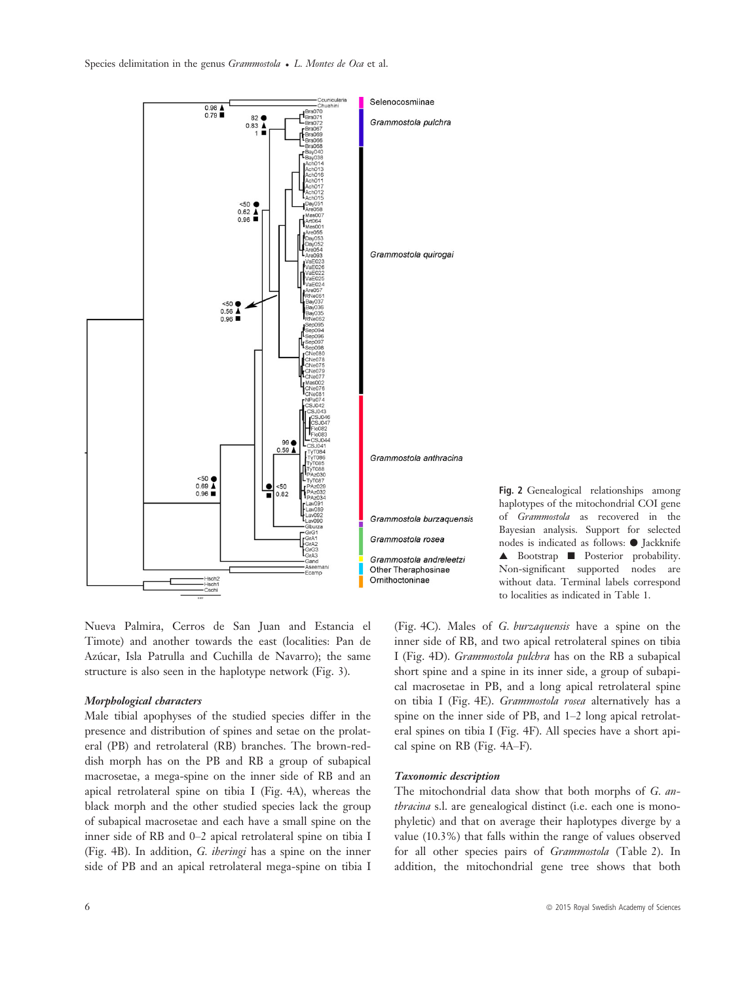

Nueva Palmira, Cerros de San Juan and Estancia el Timote) and another towards the east (localities: Pan de Azúcar, Isla Patrulla and Cuchilla de Navarro); the same structure is also seen in the haplotype network (Fig. 3).

## Morphological characters

Male tibial apophyses of the studied species differ in the presence and distribution of spines and setae on the prolateral (PB) and retrolateral (RB) branches. The brown-reddish morph has on the PB and RB a group of subapical macrosetae, a mega-spine on the inner side of RB and an apical retrolateral spine on tibia I (Fig. 4A), whereas the black morph and the other studied species lack the group of subapical macrosetae and each have a small spine on the inner side of RB and 0–2 apical retrolateral spine on tibia I (Fig. 4B). In addition, G. iheringi has a spine on the inner side of PB and an apical retrolateral mega-spine on tibia I

Fig. 2 Genealogical relationships among haplotypes of the mitochondrial COI gene of Grammostola as recovered in the Bayesian analysis. Support for selected nodes is indicated as follows: ● Jackknife ▲ Bootstrap ■ Posterior probability. Non-significant supported nodes are without data. Terminal labels correspond to localities as indicated in Table 1.

(Fig. 4C). Males of G. burzaquensis have a spine on the inner side of RB, and two apical retrolateral spines on tibia I (Fig. 4D). Grammostola pulchra has on the RB a subapical short spine and a spine in its inner side, a group of subapical macrosetae in PB, and a long apical retrolateral spine on tibia I (Fig. 4E). Grammostola rosea alternatively has a spine on the inner side of PB, and 1–2 long apical retrolateral spines on tibia I (Fig. 4F). All species have a short apical spine on RB (Fig. 4A–F).

### Taxonomic description

The mitochondrial data show that both morphs of G. anthracina s.l. are genealogical distinct (i.e. each one is monophyletic) and that on average their haplotypes diverge by a value (10.3%) that falls within the range of values observed for all other species pairs of Grammostola (Table 2). In addition, the mitochondrial gene tree shows that both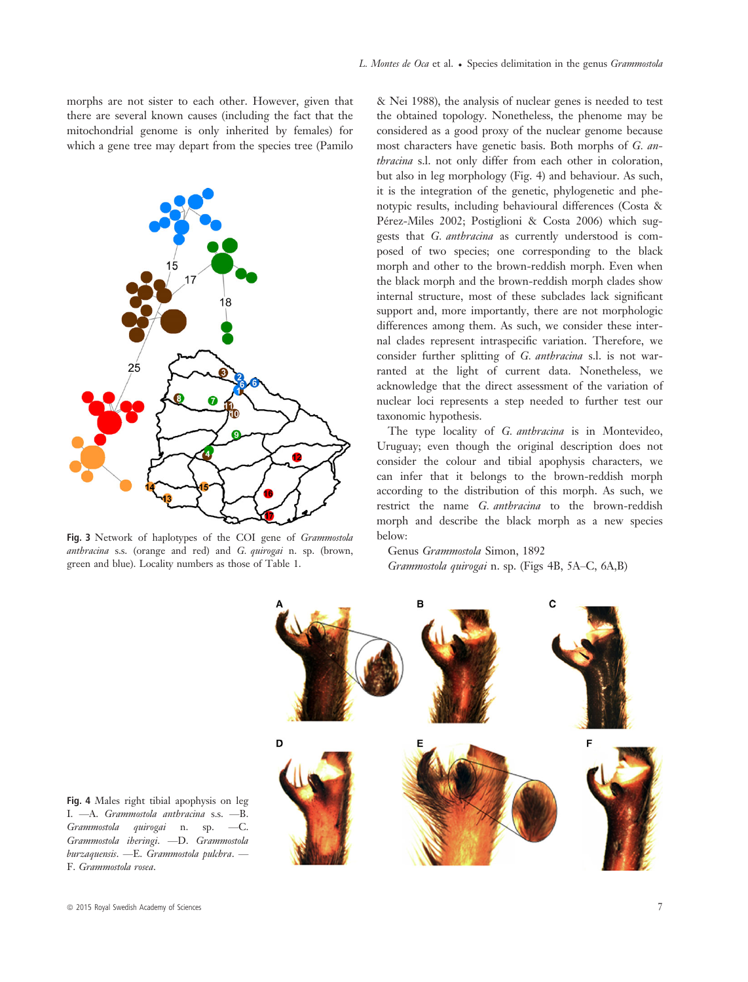morphs are not sister to each other. However, given that there are several known causes (including the fact that the mitochondrial genome is only inherited by females) for which a gene tree may depart from the species tree (Pamilo



Fig. 3 Network of haplotypes of the COI gene of Grammostola<br>anthracina s.s. (orange and red) and G. quirogai n. sp. (brown, green and blue). Locality numbers as those of Table 1.

& Nei 1988), the analysis of nuclear genes is needed to test the obtained topology. Nonetheless, the phenome may be considered as a good proxy of the nuclear genome because most characters have genetic basis. Both morphs of G. anthracina s.l. not only differ from each other in coloration, but also in leg morphology (Fig. 4) and behaviour. As such, it is the integration of the genetic, phylogenetic and phenotypic results, including behavioural differences (Costa & Pérez-Miles 2002; Postiglioni & Costa 2006) which suggests that G. anthracina as currently understood is composed of two species; one corresponding to the black morph and other to the brown-reddish morph. Even when the black morph and the brown-reddish morph clades show internal structure, most of these subclades lack significant support and, more importantly, there are not morphologic differences among them. As such, we consider these internal clades represent intraspecific variation. Therefore, we consider further splitting of G. anthracina s.l. is not warranted at the light of current data. Nonetheless, we acknowledge that the direct assessment of the variation of nuclear loci represents a step needed to further test our taxonomic hypothesis.

The type locality of G. anthracina is in Montevideo, Uruguay; even though the original description does not consider the colour and tibial apophysis characters, we can infer that it belongs to the brown-reddish morph according to the distribution of this morph. As such, we restrict the name G. anthracina to the brown-reddish morph and describe the black morph as a new species below:

Genus Grammostola Simon, 1892 Grammostola quirogai n. sp. (Figs 4B, 5A–C, 6A,B)



Fig. 4 Males right tibial apophysis on leg I. —A. Grammostola anthracina s.s. —B. Grammostola quirogai n. sp. —C. Grammostola iheringi. —D. Grammostola burzaquensis. —E. Grammostola pulchra. — F. Grammostola rosea.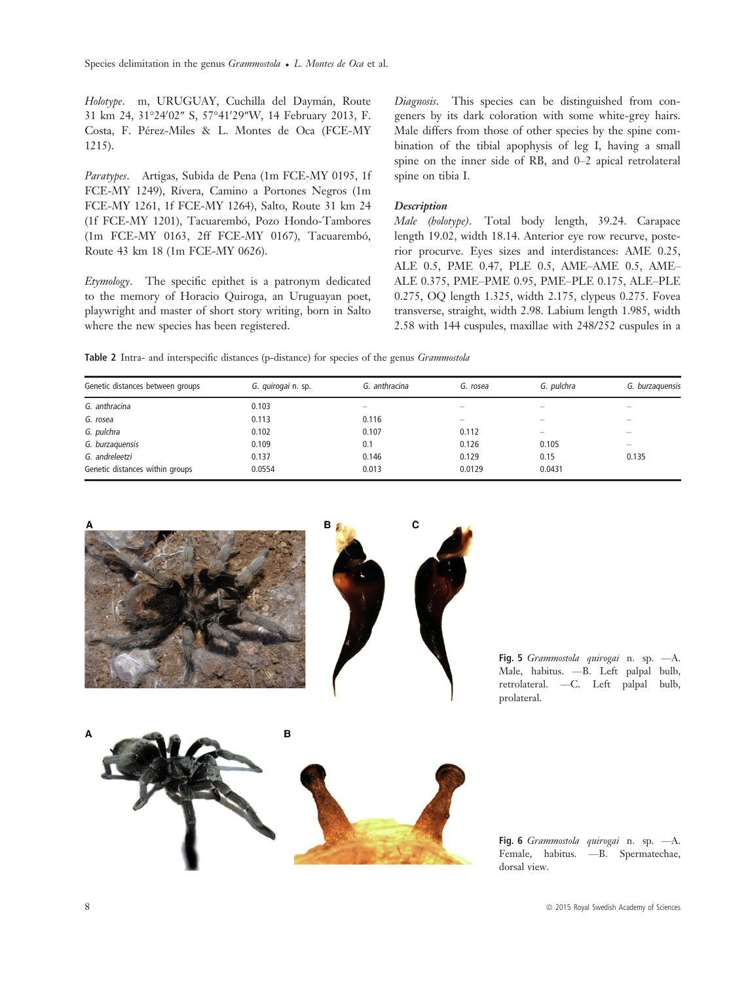Holotype. m, URUGUAY, Cuchilla del Daymán, Route 31 km 24, 31°24'02" S, 57°41'29"W, 14 February 2013, F. Costa, F. Pérez-Miles & L. Montes de Oca (FCE-MY 1215).

Paratypes. Artigas, Subida de Pena (1m FCE-MY 0195, 1f FCE-MY 1249), Rivera, Camino a Portones Negros (1m FCE-MY 1261, 1f FCE-MY 1264), Salto, Route 31 km 24 (1f FCE-MY 1201), Tacuarembó, Pozo Hondo-Tambores (1m FCE-MY 0163, 2ff FCE-MY 0167), Tacuarembó, Route 43 km 18 (1m FCE-MY 0626).

Etymology. The specific epithet is a patronym dedicated to the memory of Horacio Quiroga, an Uruguayan poet, playwright and master of short story writing, born in Salto where the new species has been registered.

Diagnosis. This species can be distinguished from congeners by its dark coloration with some white-grey hairs. Male differs from those of other species by the spine combination of the tibial apophysis of leg I, having a small spine on the inner side of RB, and 0–2 apical retrolateral spine on tibia I.

#### **Description**

Male (holotype). Total body length, 39.24. Carapace length 19.02, width 18.14. Anterior eye row recurve, posterior procurve. Eyes sizes and interdistances: AME 0.25, ALE 0.5, PME 0.47, PLE 0.5, AME–AME 0.5, AME– ALE 0.375, PME–PME 0.95, PME–PLE 0.175, ALE–PLE 0.275, OQ length 1.325, width 2.175, clypeus 0.275. Fovea transverse, straight, width 2.98. Labium length 1.985, width 2.58 with 144 cuspules, maxillae with 248/252 cuspules in a

Table 2 Intra- and interspecific distances (p-distance) for species of the genus Grammostola

| Genetic distances between groups | G. quirogai n. sp. | G. anthracina | G. rosea                 | G. pulchra               | G. burzaquensis          |
|----------------------------------|--------------------|---------------|--------------------------|--------------------------|--------------------------|
| G. anthracina                    | 0.103              |               | $\overline{\phantom{0}}$ |                          |                          |
| G. rosea                         | 0.113              | 0.116         | $\overline{\phantom{0}}$ | $\overline{\phantom{0}}$ | $\overline{\phantom{0}}$ |
| G. pulchra                       | 0.102              | 0.107         | 0.112                    | -                        |                          |
| G. burzaquensis                  | 0.109              | 0.1           | 0.126                    | 0.105                    | -                        |
| G. andreleetzi                   | 0.137              | 0.146         | 0.129                    | 0.15                     | 0.135                    |
| Genetic distances within groups  | 0.0554             | 0.013         | 0.0129                   | 0.0431                   |                          |



Fig. 5 Grammostola quirogai n. sp. - A. Male, habitus. —B. Left palpal bulb, retrolateral. —C. Left palpal bulb, prolateral.



Fig. 6 Grammostola quirogai n. sp. - A. Female, habitus. —B. Spermatechae, dorsal view.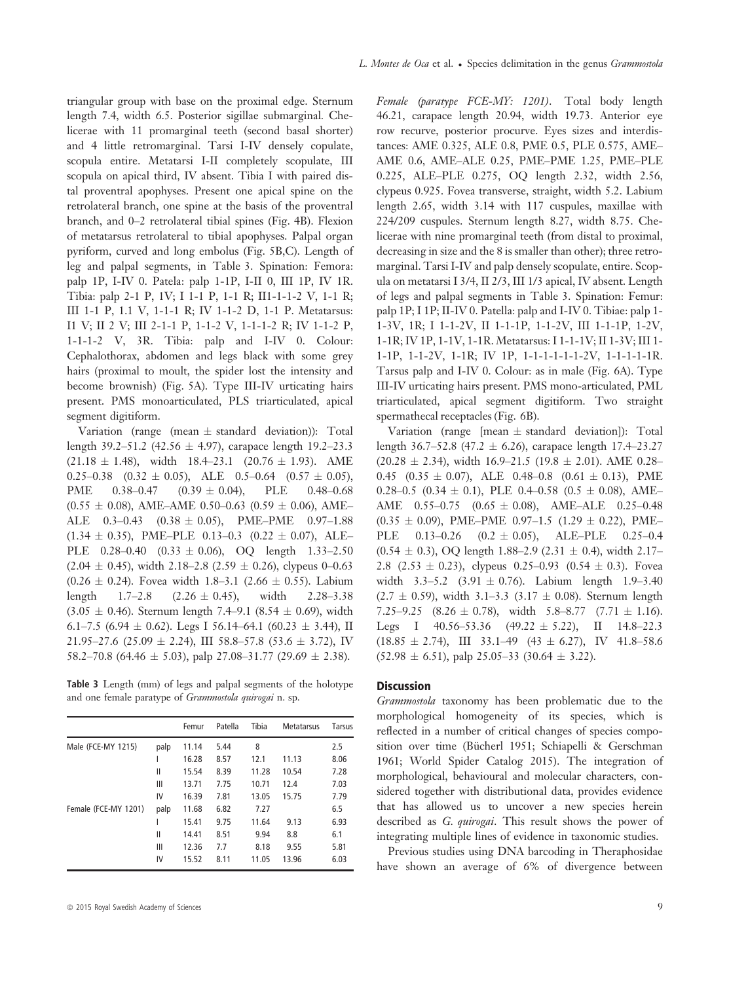triangular group with base on the proximal edge. Sternum length 7.4, width 6.5. Posterior sigillae submarginal. Chelicerae with 11 promarginal teeth (second basal shorter) and 4 little retromarginal. Tarsi I-IV densely copulate, scopula entire. Metatarsi I-II completely scopulate, III scopula on apical third, IV absent. Tibia I with paired distal proventral apophyses. Present one apical spine on the retrolateral branch, one spine at the basis of the proventral branch, and 0–2 retrolateral tibial spines (Fig. 4B). Flexion of metatarsus retrolateral to tibial apophyses. Palpal organ pyriform, curved and long embolus (Fig. 5B,C). Length of leg and palpal segments, in Table 3. Spination: Femora: palp 1P, I-IV 0. Patela: palp 1-1P, I-II 0, III 1P, IV 1R. Tibia: palp 2-1 P, 1V; I 1-1 P, 1-1 R; II1-1-1-2 V, 1-1 R; III 1-1 P, 1.1 V, 1-1-1 R; IV 1-1-2 D, 1-1 P. Metatarsus: I1 V; II 2 V; III 2-1-1 P, 1-1-2 V, 1-1-1-2 R; IV 1-1-2 P, 1-1-1-2 V, 3R. Tibia: palp and I-IV 0. Colour: Cephalothorax, abdomen and legs black with some grey hairs (proximal to moult, the spider lost the intensity and become brownish) (Fig. 5A). Type III-IV urticating hairs present. PMS monoarticulated, PLS triarticulated, apical

Variation (range (mean  $\pm$  standard deviation)): Total length 39.2–51.2 (42.56  $\pm$  4.97), carapace length 19.2–23.3  $(21.18 \pm 1.48)$ , width  $18.4-23.1$   $(20.76 \pm 1.93)$ . AME 0.25–0.38 (0.32 ± 0.05), ALE 0.5–0.64 (0.57 ± 0.05),<br>PME 0.38–0.47 (0.39 ± 0.04), PLE 0.48–0.68  $(0.39 \pm 0.04),$  $(0.55 \pm 0.08)$ , AME–AME 0.50–0.63  $(0.59 \pm 0.06)$ , AME– ALE  $0.3-0.43$   $(0.38 \pm 0.05)$ , PME–PME  $0.97-1.88$  $(1.34 \pm 0.35)$ , PME–PLE 0.13–0.3  $(0.22 \pm 0.07)$ , ALE– PLE  $0.28-0.40$   $(0.33 \pm 0.06)$ , OQ length  $1.33-2.50$  $(2.04 \pm 0.45)$ , width 2.18–2.8 (2.59  $\pm$  0.26), clypeus 0–0.63  $(0.26 \pm 0.24)$ . Fovea width 1.8–3.1 (2.66  $\pm$  0.55). Labium<br>length 1.7–2.8 (2.26  $\pm$  0.45), width 2.28–3.38  $(2.26 \pm 0.45),$  $(3.05 \pm 0.46)$ . Sternum length 7.4–9.1 (8.54  $\pm$  0.69), width 6.1–7.5 (6.94  $\pm$  0.62). Legs I 56.14–64.1 (60.23  $\pm$  3.44), II 21.95–27.6 (25.09  $\pm$  2.24), III 58.8–57.8 (53.6  $\pm$  3.72), IV 58.2–70.8 (64.46  $\pm$  5.03), palp 27.08–31.77 (29.69  $\pm$  2.38).

Table 3 Length (mm) of legs and palpal segments of the holotype and one female paratype of Grammostola quirogai n. sp.

|                      |      | Femur | Patella | Tibia | <b>Metatarsus</b> | Tarsus |
|----------------------|------|-------|---------|-------|-------------------|--------|
| Male (FCE-MY 1215)   | palp | 11.14 | 5.44    | 8     |                   | 2.5    |
|                      |      | 16.28 | 8.57    | 12.1  | 11.13             | 8.06   |
|                      | Ш    | 15.54 | 8.39    | 11.28 | 10.54             | 7.28   |
|                      | Ш    | 13.71 | 7.75    | 10.71 | 12.4              | 7.03   |
|                      | IV   | 16.39 | 7.81    | 13.05 | 15.75             | 7.79   |
| Female (FCE-MY 1201) | palp | 11.68 | 6.82    | 7.27  |                   | 6.5    |
|                      |      | 15.41 | 9.75    | 11.64 | 9.13              | 6.93   |
|                      | Ш    | 14.41 | 8.51    | 9.94  | 8.8               | 6.1    |
|                      | Ш    | 12.36 | 7.7     | 8.18  | 9.55              | 5.81   |
|                      | IV   | 15.52 | 8.11    | 11.05 | 13.96             | 6.03   |

segment digitiform.

Female (paratype FCE-MY: 1201). Total body length 46.21, carapace length 20.94, width 19.73. Anterior eye row recurve, posterior procurve. Eyes sizes and interdistances: AME 0.325, ALE 0.8, PME 0.5, PLE 0.575, AME– AME 0.6, AME–ALE 0.25, PME–PME 1.25, PME–PLE 0.225, ALE–PLE 0.275, OQ length 2.32, width 2.56, clypeus 0.925. Fovea transverse, straight, width 5.2. Labium length 2.65, width 3.14 with 117 cuspules, maxillae with 224/209 cuspules. Sternum length 8.27, width 8.75. Chelicerae with nine promarginal teeth (from distal to proximal, decreasing in size and the 8 is smaller than other); three retromarginal. Tarsi I-IV and palp densely scopulate, entire. Scopula on metatarsi I 3/4, II 2/3, III 1/3 apical, IV absent. Length of legs and palpal segments in Table 3. Spination: Femur: palp 1P; I 1P; II-IV 0. Patella: palp and I-IV 0. Tibiae: palp 1- 1-3V, 1R; I 1-1-2V, II 1-1-1P, 1-1-2V, III 1-1-1P, 1-2V, 1-1R; IV 1P, 1-1V, 1-1R. Metatarsus: I 1-1-1V; II 1-3V; III 1- 1-1P, 1-1-2V, 1-1R; IV 1P, 1-1-1-1-1-1-2V, 1-1-1-1-1R. Tarsus palp and I-IV 0. Colour: as in male (Fig. 6A). Type III-IV urticating hairs present. PMS mono-articulated, PML triarticulated, apical segment digitiform. Two straight spermathecal receptacles (Fig. 6B).

Variation (range [mean  $\pm$  standard deviation]): Total length 36.7–52.8 (47.2  $\pm$  6.26), carapace length 17.4–23.27  $(20.28 \pm 2.34)$ , width  $16.9-21.5$   $(19.8 \pm 2.01)$ . AME 0.28– 0.45 (0.35  $\pm$  0.07), ALE 0.48–0.8 (0.61  $\pm$  0.13), PME 0.28–0.5 (0.34  $\pm$  0.1), PLE 0.4–0.58 (0.5  $\pm$  0.08), AME– AME  $0.55-0.75$   $(0.65 \pm 0.08)$ , AME-ALE  $0.25-0.48$  $(0.35 \pm 0.09)$ , PME–PME 0.97-1.5  $(1.29 \pm 0.22)$ , PME–<br>PLE 0.13-0.26  $(0.2 \pm 0.05)$ , ALE–PLE 0.25-0.4  $(0.2 \pm 0.05)$ , ALE–PLE 0.25–0.4  $(0.54 \pm 0.3)$ , OQ length 1.88–2.9 (2.31  $\pm$  0.4), width 2.17– 2.8 (2.53  $\pm$  0.23), clypeus 0.25–0.93 (0.54  $\pm$  0.3). Fovea width  $3.3-5.2$   $(3.91 \pm 0.76)$ . Labium length 1.9-3.40  $(2.7 \pm 0.59)$ , width 3.1–3.3  $(3.17 \pm 0.08)$ . Sternum length 7.25–9.25  $(8.26 \pm 0.78)$ , width 5.8–8.77  $(7.71 \pm 1.16)$ . Legs I  $40.56-53.36$   $(49.22 \pm 5.22)$ , II  $14.8-22.3$  $(18.85 \pm 2.74), \quad \text{III} \quad 33.1 - 49 \quad (43 \pm 6.27), \quad \text{IV} \quad 41.8 - 58.6$  $(52.98 \pm 6.51)$ , palp 25.05–33 (30.64  $\pm$  3.22).

# **Discussion**

Grammostola taxonomy has been problematic due to the morphological homogeneity of its species, which is reflected in a number of critical changes of species composition over time (Bücherl 1951; Schiapelli & Gerschman 1961; World Spider Catalog 2015). The integration of morphological, behavioural and molecular characters, considered together with distributional data, provides evidence that has allowed us to uncover a new species herein described as *G. quirogai*. This result shows the power of integrating multiple lines of evidence in taxonomic studies.

Previous studies using DNA barcoding in Theraphosidae have shown an average of 6% of divergence between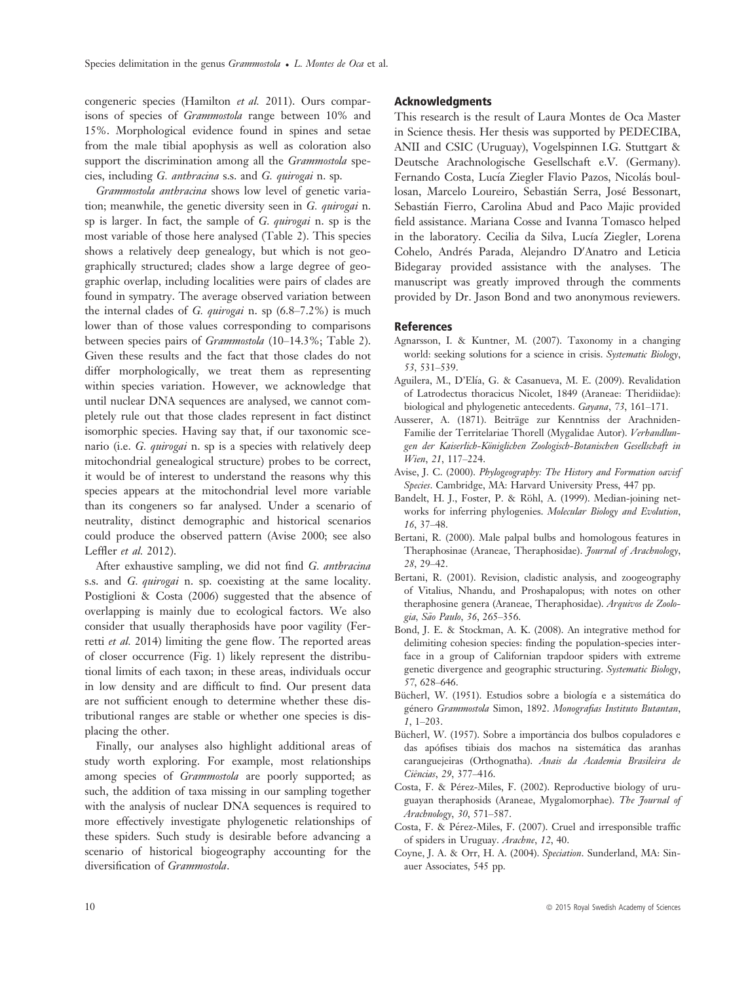congeneric species (Hamilton et al. 2011). Ours comparisons of species of Grammostola range between 10% and 15%. Morphological evidence found in spines and setae from the male tibial apophysis as well as coloration also support the discrimination among all the Grammostola species, including G. anthracina s.s. and G. quirogai n. sp.

Grammostola anthracina shows low level of genetic variation; meanwhile, the genetic diversity seen in G. quirogai n. sp is larger. In fact, the sample of G. quirogai n. sp is the most variable of those here analysed (Table 2). This species shows a relatively deep genealogy, but which is not geographically structured; clades show a large degree of geographic overlap, including localities were pairs of clades are found in sympatry. The average observed variation between the internal clades of G. quirogai n. sp  $(6.8-7.2\%)$  is much lower than of those values corresponding to comparisons between species pairs of Grammostola (10–14.3%; Table 2). Given these results and the fact that those clades do not differ morphologically, we treat them as representing within species variation. However, we acknowledge that until nuclear DNA sequences are analysed, we cannot completely rule out that those clades represent in fact distinct isomorphic species. Having say that, if our taxonomic scenario (i.e. G. quirogai n. sp is a species with relatively deep mitochondrial genealogical structure) probes to be correct, it would be of interest to understand the reasons why this species appears at the mitochondrial level more variable than its congeners so far analysed. Under a scenario of neutrality, distinct demographic and historical scenarios could produce the observed pattern (Avise 2000; see also Leffler et al. 2012).

After exhaustive sampling, we did not find G. anthracina s.s. and G. quirogai n. sp. coexisting at the same locality. Postiglioni & Costa (2006) suggested that the absence of overlapping is mainly due to ecological factors. We also consider that usually theraphosids have poor vagility (Ferretti et al. 2014) limiting the gene flow. The reported areas of closer occurrence (Fig. 1) likely represent the distributional limits of each taxon; in these areas, individuals occur in low density and are difficult to find. Our present data are not sufficient enough to determine whether these distributional ranges are stable or whether one species is displacing the other.

Finally, our analyses also highlight additional areas of study worth exploring. For example, most relationships among species of *Grammostola* are poorly supported; as such, the addition of taxa missing in our sampling together with the analysis of nuclear DNA sequences is required to more effectively investigate phylogenetic relationships of these spiders. Such study is desirable before advancing a scenario of historical biogeography accounting for the diversification of Grammostola.

## **Acknowledaments**

This research is the result of Laura Montes de Oca Master in Science thesis. Her thesis was supported by PEDECIBA, ANII and CSIC (Uruguay), Vogelspinnen I.G. Stuttgart & Deutsche Arachnologische Gesellschaft e.V. (Germany). Fernando Costa, Lucía Ziegler Flavio Pazos, Nicolás boullosan, Marcelo Loureiro, Sebastian Serra, Jose Bessonart, Sebastian Fierro, Carolina Abud and Paco Majic provided field assistance. Mariana Cosse and Ivanna Tomasco helped in the laboratory. Cecilia da Silva, Lucía Ziegler, Lorena Cohelo, Andrés Parada, Alejandro D'Anatro and Leticia Bidegaray provided assistance with the analyses. The manuscript was greatly improved through the comments provided by Dr. Jason Bond and two anonymous reviewers.

#### References

- Agnarsson, I. & Kuntner, M. (2007). Taxonomy in a changing world: seeking solutions for a science in crisis. Systematic Biology, 53, 531–539.
- Aguilera, M., D'Elía, G. & Casanueva, M. E. (2009). Revalidation of Latrodectus thoracicus Nicolet, 1849 (Araneae: Theridiidae): biological and phylogenetic antecedents. Gayana, 73, 161–171.
- Ausserer, A. (1871). Beiträge zur Kenntniss der Arachniden-Familie der Territelariae Thorell (Mygalidae Autor). Verhandlungen der Kaiserlich-Königlichen Zoologisch-Botanischen Gesellschaft in Wien, 21, 117–224.
- Avise, J. C. (2000). Phylogeography: The History and Formation oavisf Species. Cambridge, MA: Harvard University Press, 447 pp.
- Bandelt, H. J., Foster, P. & Röhl, A. (1999). Median-joining networks for inferring phylogenies. Molecular Biology and Evolution, 16, 37–48.
- Bertani, R. (2000). Male palpal bulbs and homologous features in Theraphosinae (Araneae, Theraphosidae). Journal of Arachnology, 28, 29–42.
- Bertani, R. (2001). Revision, cladistic analysis, and zoogeography of Vitalius, Nhandu, and Proshapalopus; with notes on other theraphosine genera (Araneae, Theraphosidae). Arquivos de Zoologia, São Paulo, 36, 265-356.
- Bond, J. E. & Stockman, A. K. (2008). An integrative method for delimiting cohesion species: finding the population-species interface in a group of Californian trapdoor spiders with extreme genetic divergence and geographic structuring. Systematic Biology, 57, 628–646.
- Bücherl, W. (1951). Estudios sobre a biología e a sistemática do género Grammostola Simon, 1892. Monografias Instituto Butantan, 1, 1–203.
- Bücherl, W. (1957). Sobre a importância dos bulbos copuladores e das apofises tibiais dos machos na sistematica das aranhas caranguejeiras (Orthognatha). Anais da Academia Brasileira de Ciências, 29, 377-416.
- Costa, F. & Pérez-Miles, F. (2002). Reproductive biology of uruguayan theraphosids (Araneae, Mygalomorphae). The Journal of Arachnology, 30, 571–587.
- Costa, F. & Pérez-Miles, F. (2007). Cruel and irresponsible traffic of spiders in Uruguay. Arachne, 12, 40.
- Coyne, J. A. & Orr, H. A. (2004). Speciation. Sunderland, MA: Sinauer Associates, 545 pp.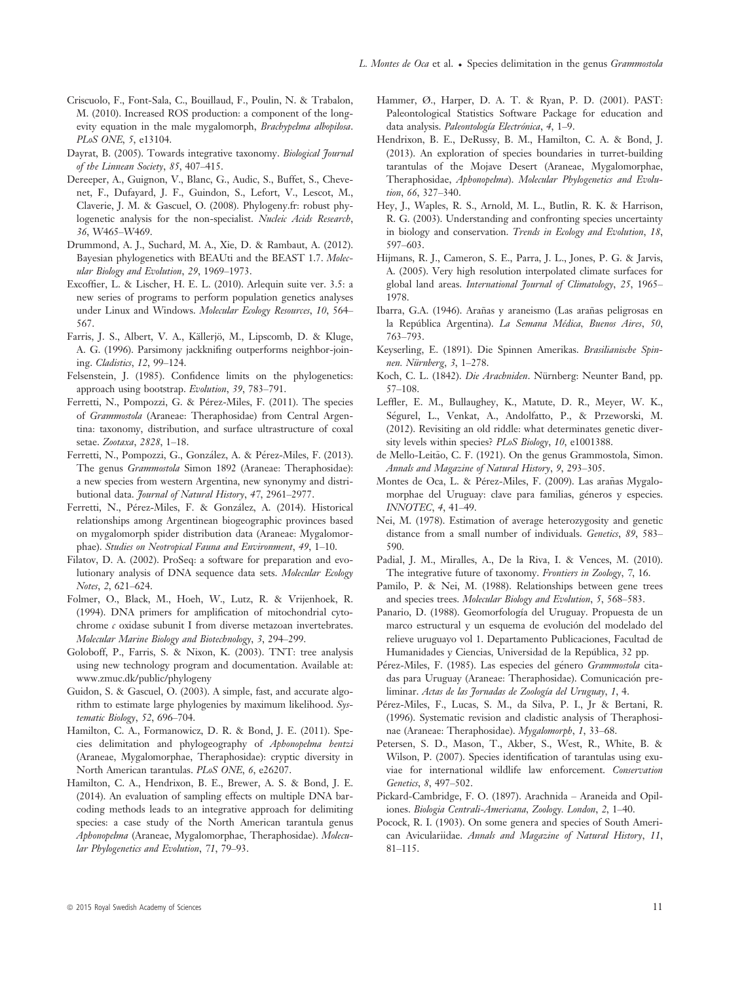- Criscuolo, F., Font-Sala, C., Bouillaud, F., Poulin, N. & Trabalon, M. (2010). Increased ROS production: a component of the longevity equation in the male mygalomorph, Brachypelma albopilosa. PLoS ONE, 5, e13104.
- Dayrat, B. (2005). Towards integrative taxonomy. Biological Fournal of the Linnean Society, 85, 407–415.
- Dereeper, A., Guignon, V., Blanc, G., Audic, S., Buffet, S., Chevenet, F., Dufayard, J. F., Guindon, S., Lefort, V., Lescot, M., Claverie, J. M. & Gascuel, O. (2008). Phylogeny.fr: robust phylogenetic analysis for the non-specialist. Nucleic Acids Research, 36, W465–W469.
- Drummond, A. J., Suchard, M. A., Xie, D. & Rambaut, A. (2012). Bayesian phylogenetics with BEAUti and the BEAST 1.7. Molecular Biology and Evolution, 29, 1969–1973.
- Excoffier, L. & Lischer, H. E. L. (2010). Arlequin suite ver. 3.5: a new series of programs to perform population genetics analyses under Linux and Windows. Molecular Ecology Resources, 10, 564– 567.
- Farris, J. S., Albert, V. A., Källerjö, M., Lipscomb, D. & Kluge, A. G. (1996). Parsimony jackknifing outperforms neighbor-joining. Cladistics, 12, 99–124.
- Felsenstein, J. (1985). Confidence limits on the phylogenetics: approach using bootstrap. Evolution, 39, 783–791.
- Ferretti, N., Pompozzi, G. & Pérez-Miles, F. (2011). The species of Grammostola (Araneae: Theraphosidae) from Central Argentina: taxonomy, distribution, and surface ultrastructure of coxal setae. Zootaxa, 2828, 1–18.
- Ferretti, N., Pompozzi, G., Gonzalez, A. & Perez-Miles, F. (2013). The genus Grammostola Simon 1892 (Araneae: Theraphosidae): a new species from western Argentina, new synonymy and distributional data. Journal of Natural History, 47, 2961-2977.
- Ferretti, N., Pérez-Miles, F. & González, A. (2014). Historical relationships among Argentinean biogeographic provinces based on mygalomorph spider distribution data (Araneae: Mygalomorphae). Studies on Neotropical Fauna and Environment, 49, 1–10.
- Filatov, D. A. (2002). ProSeq: a software for preparation and evolutionary analysis of DNA sequence data sets. Molecular Ecology Notes, 2, 621–624.
- Folmer, O., Black, M., Hoeh, W., Lutz, R. & Vrijenhoek, R. (1994). DNA primers for amplification of mitochondrial cytochrome c oxidase subunit I from diverse metazoan invertebrates. Molecular Marine Biology and Biotechnology, 3, 294–299.
- Goloboff, P., Farris, S. & Nixon, K. (2003). TNT: tree analysis using new technology program and documentation. Available at: [www.zmuc.dk/public/phylogeny](http://www.zmuc.dk/public/phylogeny)
- Guidon, S. & Gascuel, O. (2003). A simple, fast, and accurate algorithm to estimate large phylogenies by maximum likelihood. Systematic Biology, 52, 696–704.
- Hamilton, C. A., Formanowicz, D. R. & Bond, J. E. (2011). Species delimitation and phylogeography of Aphonopelma hentzi (Araneae, Mygalomorphae, Theraphosidae): cryptic diversity in North American tarantulas. PLoS ONE, 6, e26207.
- Hamilton, C. A., Hendrixon, B. E., Brewer, A. S. & Bond, J. E. (2014). An evaluation of sampling effects on multiple DNA barcoding methods leads to an integrative approach for delimiting species: a case study of the North American tarantula genus Aphonopelma (Araneae, Mygalomorphae, Theraphosidae). Molecular Phylogenetics and Evolution, 71, 79–93.
- Hammer, Ø., Harper, D. A. T. & Ryan, P. D. (2001). PAST: Paleontological Statistics Software Package for education and data analysis. Paleontología Electrónica, 4, 1-9.
- Hendrixon, B. E., DeRussy, B. M., Hamilton, C. A. & Bond, J. (2013). An exploration of species boundaries in turret-building tarantulas of the Mojave Desert (Araneae, Mygalomorphae, Theraphosidae, Aphonopelma). Molecular Phylogenetics and Evolution, 66, 327-340.
- Hey, J., Waples, R. S., Arnold, M. L., Butlin, R. K. & Harrison, R. G. (2003). Understanding and confronting species uncertainty in biology and conservation. Trends in Ecology and Evolution, 18, 597–603.
- Hijmans, R. J., Cameron, S. E., Parra, J. L., Jones, P. G. & Jarvis, A. (2005). Very high resolution interpolated climate surfaces for global land areas. International Journal of Climatology, 25, 1965– 1978.
- Ibarra, G.A. (1946). Arañas y araneismo (Las arañas peligrosas en la República Argentina). La Semana Médica, Buenos Aires, 50, 763–793.
- Keyserling, E. (1891). Die Spinnen Amerikas. Brasilianische Spinnen. Nürnberg, 3,  $1-278$ .
- Koch, C. L. (1842). Die Arachniden. Nürnberg: Neunter Band, pp. 57–108.
- Leffler, E. M., Bullaughey, K., Matute, D. R., Meyer, W. K., Segurel, L., Venkat, A., Andolfatto, P., & Przeworski, M. (2012). Revisiting an old riddle: what determinates genetic diversity levels within species? PLoS Biology, 10, e1001388.
- de Mello-Leitão, C. F. (1921). On the genus Grammostola, Simon. Annals and Magazine of Natural History, 9, 293–305.
- Montes de Oca, L. & Pérez-Miles, F. (2009). Las arañas Mygalomorphae del Uruguay: clave para familias, géneros y especies. INNOTEC, 4, 41–49.
- Nei, M. (1978). Estimation of average heterozygosity and genetic distance from a small number of individuals. Genetics, 89, 583– 590.
- Padial, J. M., Miralles, A., De la Riva, I. & Vences, M. (2010). The integrative future of taxonomy. Frontiers in Zoology, 7, 16.
- Pamilo, P. & Nei, M. (1988). Relationships between gene trees and species trees. Molecular Biology and Evolution, 5, 568–583.
- Panario, D. (1988). Geomorfología del Uruguay. Propuesta de un marco estructural y un esquema de evolución del modelado del relieve uruguayo vol 1. Departamento Publicaciones, Facultad de Humanidades y Ciencias, Universidad de la Republica, 32 pp.
- Pérez-Miles, F. (1985). Las especies del género Grammostola citadas para Uruguay (Araneae: Theraphosidae). Comunicación preliminar. Actas de las Jornadas de Zoología del Uruguay, 1, 4.
- Perez-Miles, F., Lucas, S. M., da Silva, P. I., Jr & Bertani, R. (1996). Systematic revision and cladistic analysis of Theraphosinae (Araneae: Theraphosidae). Mygalomorph, 1, 33–68.
- Petersen, S. D., Mason, T., Akber, S., West, R., White, B. & Wilson, P. (2007). Species identification of tarantulas using exuviae for international wildlife law enforcement. Conservation Genetics, 8, 497–502.
- Pickard-Cambridge, F. O. (1897). Arachnida Araneida and Opiliones. Biologia Centrali-Americana, Zoology. London, 2, 1–40.
- Pocock, R. I. (1903). On some genera and species of South American Aviculariidae. Annals and Magazine of Natural History, 11, 81–115.